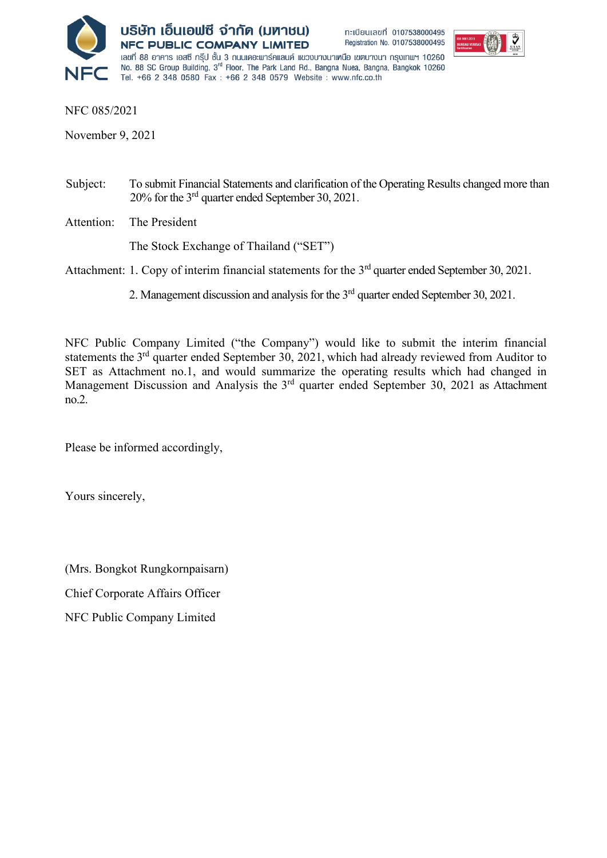



NFC 085/2021

November 9, 2021

- Subject: To submit Financial Statements and clarification of the Operating Results changed more than 20% for the 3rd quarter ended September 30, 2021.
- Attention: The President

The Stock Exchange of Thailand ("SET")

### Attachment: 1. Copy of interim financial statements for the 3<sup>rd</sup> quarter ended September 30, 2021.

2. Management discussion and analysis for the 3<sup>rd</sup> quarter ended September 30, 2021.

NFC Public Company Limited ("the Company") would like to submit the interim financial statements the 3<sup>rd</sup> quarter ended September 30, 2021, which had already reviewed from Auditor to SET as Attachment no.1, and would summarize the operating results which had changed in Management Discussion and Analysis the 3<sup>rd</sup> quarter ended September 30, 2021 as Attachment no.2.

Please be informed accordingly,

Yours sincerely,

(Mrs. Bongkot Rungkornpaisarn)

Chief Corporate Affairs Officer

NFC Public Company Limited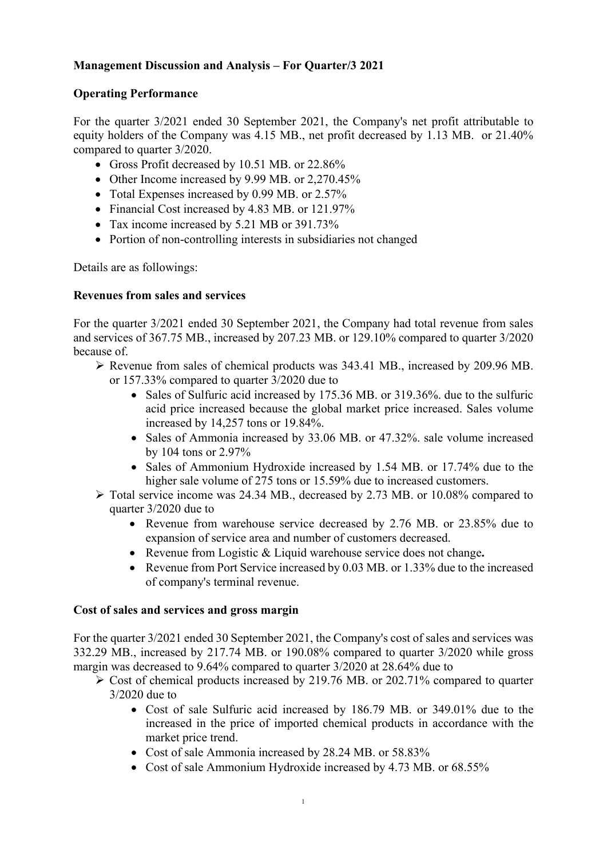# **Management Discussion and Analysis – For Quarter/3 2021**

# **Operating Performance**

For the quarter 3/2021 ended 30 September 2021, the Company's net profit attributable to equity holders of the Company was 4.15 MB., net profit decreased by 1.13 MB. or 21.40% compared to quarter 3/2020.

- Gross Profit decreased by 10.51 MB. or 22.86%
- Other Income increased by 9.99 MB. or 2,270.45%
- Total Expenses increased by 0.99 MB. or 2.57%
- Financial Cost increased by 4.83 MB. or 121.97%
- Tax income increased by 5.21 MB or 391.73%
- Portion of non-controlling interests in subsidiaries not changed

Details are as followings:

## **Revenues from sales and services**

For the quarter 3/2021 ended 30 September 2021, the Company had total revenue from sales and services of 367.75 MB., increased by 207.23 MB. or 129.10% compared to quarter 3/2020 because of.

- $\triangleright$  Revenue from sales of chemical products was 343.41 MB., increased by 209.96 MB. or 157.33% compared to quarter 3/2020 due to
	- Sales of Sulfuric acid increased by 175.36 MB. or 319.36%. due to the sulfuric acid price increased because the global market price increased. Sales volume increased by 14,257 tons or 19.84%.
	- Sales of Ammonia increased by 33.06 MB. or 47.32%. sale volume increased by 104 tons or 2.97%
	- Sales of Ammonium Hydroxide increased by 1.54 MB. or 17.74% due to the higher sale volume of 275 tons or 15.59% due to increased customers.
- Total service income was 24.34 MB., decreased by 2.73 MB. or 10.08% compared to quarter 3/2020 due to
	- Revenue from warehouse service decreased by 2.76 MB. or 23.85% due to expansion of service area and number of customers decreased.
	- Revenue from Logistic & Liquid warehouse service does not change**.**
	- Revenue from Port Service increased by 0.03 MB. or 1.33% due to the increased of company's terminal revenue.

## **Cost of sales and services and gross margin**

For the quarter 3/2021 ended 30 September 2021, the Company's cost of sales and services was 332.29 MB., increased by 217.74 MB. or 190.08% compared to quarter 3/2020 while gross margin was decreased to 9.64% compared to quarter 3/2020 at 28.64% due to

- $\triangleright$  Cost of chemical products increased by 219.76 MB. or 202.71% compared to quarter 3/2020 due to
	- Cost of sale Sulfuric acid increased by 186.79 MB. or 349.01% due to the increased in the price of imported chemical products in accordance with the market price trend.
	- Cost of sale Ammonia increased by 28.24 MB. or 58.83%
	- Cost of sale Ammonium Hydroxide increased by 4.73 MB. or 68.55%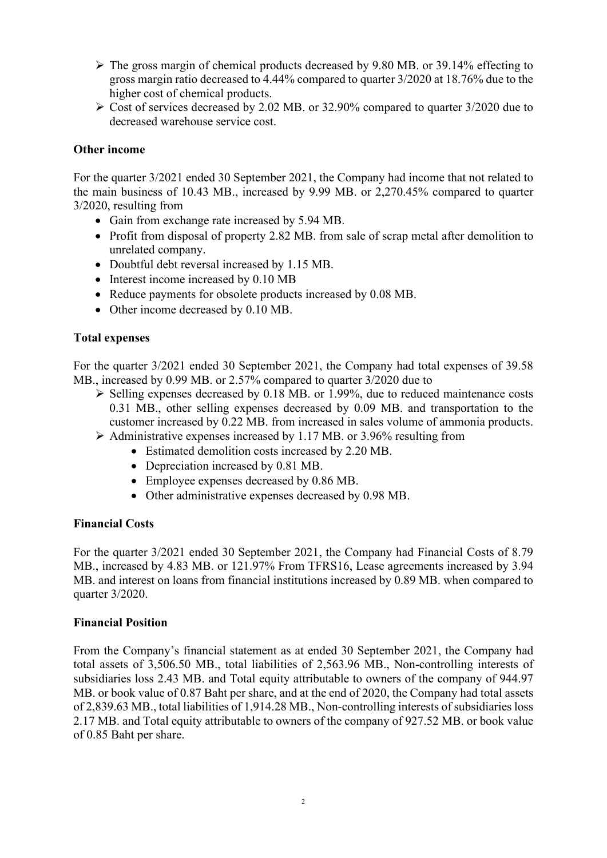- $\triangleright$  The gross margin of chemical products decreased by 9.80 MB. or 39.14% effecting to gross margin ratio decreased to 4.44% compared to quarter 3/2020 at 18.76% due to the higher cost of chemical products.
- $\geq$  Cost of services decreased by 2.02 MB. or 32.90% compared to quarter 3/2020 due to decreased warehouse service cost.

### **Other income**

For the quarter 3/2021 ended 30 September 2021, the Company had income that not related to the main business of 10.43 MB., increased by 9.99 MB. or 2,270.45% compared to quarter 3/2020, resulting from

- Gain from exchange rate increased by 5.94 MB.
- Profit from disposal of property 2.82 MB. from sale of scrap metal after demolition to unrelated company.
- Doubtful debt reversal increased by 1.15 MB.
- Interest income increased by 0.10 MB
- Reduce payments for obsolete products increased by 0.08 MB.
- Other income decreased by 0.10 MB.

## **Total expenses**

For the quarter 3/2021 ended 30 September 2021, the Company had total expenses of 39.58 MB., increased by 0.99 MB. or 2.57% compared to quarter 3/2020 due to

- $\triangleright$  Selling expenses decreased by 0.18 MB. or 1.99%, due to reduced maintenance costs 0.31 MB., other selling expenses decreased by 0.09 MB. and transportation to the customer increased by 0.22 MB. from increased in sales volume of ammonia products.
- $\triangleright$  Administrative expenses increased by 1.17 MB. or 3.96% resulting from
	- Estimated demolition costs increased by 2.20 MB.
	- Depreciation increased by 0.81 MB.
	- Employee expenses decreased by 0.86 MB.
	- Other administrative expenses decreased by 0.98 MB.

### **Financial Costs**

For the quarter 3/2021 ended 30 September 2021, the Company had Financial Costs of 8.79 MB., increased by 4.83 MB. or 121.97% From TFRS16, Lease agreements increased by 3.94 MB. and interest on loans from financial institutions increased by 0.89 MB. when compared to quarter 3/2020.

### **Financial Position**

From the Company's financial statement as at ended 30 September 2021, the Company had total assets of 3,506.50 MB., total liabilities of 2,563.96 MB., Non-controlling interests of subsidiaries loss 2.43 MB. and Total equity attributable to owners of the company of 944.97 MB. or book value of 0.87 Baht per share, and at the end of 2020, the Company had total assets of 2,839.63 MB., total liabilities of 1,914.28 MB., Non-controlling interests of subsidiaries loss 2.17 MB. and Total equity attributable to owners of the company of 927.52 MB. or book value of 0.85 Baht per share.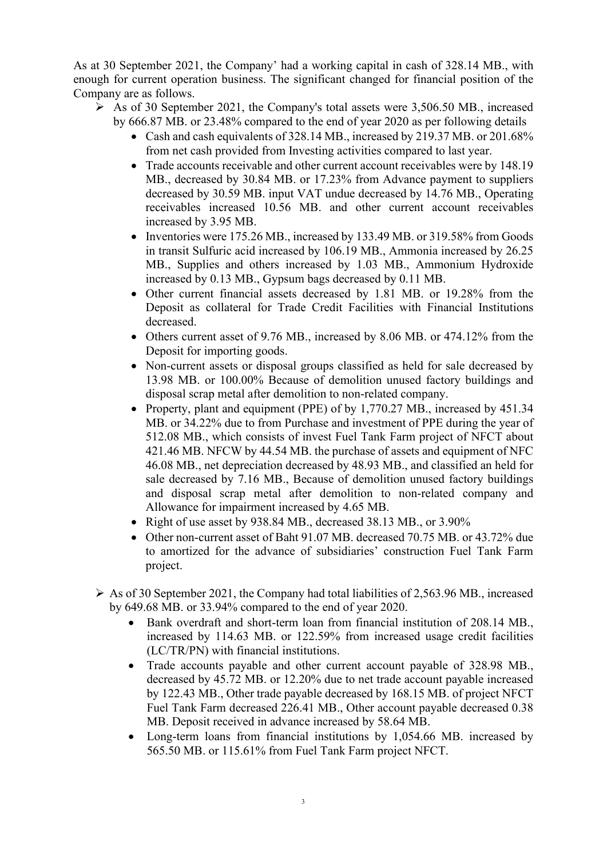As at 30 September 2021, the Company' had a working capital in cash of 328.14 MB., with enough for current operation business. The significant changed for financial position of the Company are as follows.

- $\triangleright$  As of 30 September 2021, the Company's total assets were 3,506.50 MB, increased by 666.87 MB. or 23.48% compared to the end of year 2020 as per following details
	- Cash and cash equivalents of 328.14 MB., increased by 219.37 MB. or 201.68% from net cash provided from Investing activities compared to last year.
	- Trade accounts receivable and other current account receivables were by 148.19 MB., decreased by 30.84 MB. or 17.23% from Advance payment to suppliers decreased by 30.59 MB. input VAT undue decreased by 14.76 MB., Operating receivables increased 10.56 MB. and other current account receivables increased by 3.95 MB.
	- Inventories were 175.26 MB., increased by 133.49 MB. or 319.58% from Goods in transit Sulfuric acid increased by 106.19 MB., Ammonia increased by 26.25 MB., Supplies and others increased by 1.03 MB., Ammonium Hydroxide increased by 0.13 MB., Gypsum bags decreased by 0.11 MB.
	- Other current financial assets decreased by 1.81 MB. or 19.28% from the Deposit as collateral for Trade Credit Facilities with Financial Institutions decreased.
	- Others current asset of 9.76 MB., increased by 8.06 MB. or 474.12% from the Deposit for importing goods.
	- Non-current assets or disposal groups classified as held for sale decreased by 13.98 MB. or 100.00% Because of demolition unused factory buildings and disposal scrap metal after demolition to non-related company.
	- Property, plant and equipment (PPE) of by 1,770.27 MB., increased by 451.34 MB. or 34.22% due to from Purchase and investment of PPE during the year of 512.08 MB., which consists of invest Fuel Tank Farm project of NFCT about 421.46 MB. NFCW by 44.54 MB. the purchase of assets and equipment of NFC 46.08 MB., net depreciation decreased by 48.93 MB., and classified an held for sale decreased by 7.16 MB., Because of demolition unused factory buildings and disposal scrap metal after demolition to non-related company and Allowance for impairment increased by 4.65 MB.
	- Right of use asset by 938.84 MB., decreased 38.13 MB., or 3.90%
	- Other non-current asset of Baht 91.07 MB. decreased 70.75 MB. or 43.72% due to amortized for the advance of subsidiaries' construction Fuel Tank Farm project.
- $\triangleright$  As of 30 September 2021, the Company had total liabilities of 2,563.96 MB., increased by 649.68 MB. or 33.94% compared to the end of year 2020.
	- Bank overdraft and short-term loan from financial institution of 208.14 MB., increased by 114.63 MB. or 122.59% from increased usage credit facilities (LC/TR/PN) with financial institutions.
	- Trade accounts payable and other current account payable of 328.98 MB., decreased by 45.72 MB. or 12.20% due to net trade account payable increased by 122.43 MB., Other trade payable decreased by 168.15 MB. of project NFCT Fuel Tank Farm decreased 226.41 MB., Other account payable decreased 0.38 MB. Deposit received in advance increased by 58.64 MB.
	- Long-term loans from financial institutions by 1,054.66 MB. increased by 565.50 MB. or 115.61% from Fuel Tank Farm project NFCT.